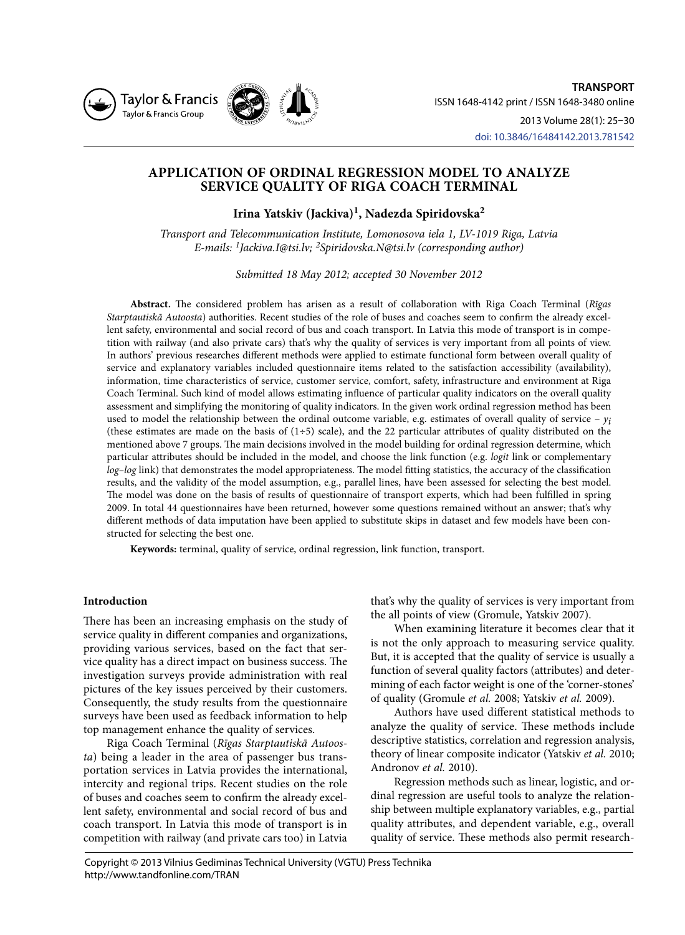



# **APPLICATION OF ORDINAL REGRESSION MODEL TO ANALYZE SERVICE QUALITY OF RIGA COACH TERMINAL**

**Irina Yatskiv (Jackiva)1, Nadezda Spiridovska2**

*Transport and Telecommunication Institute, Lomonosova iela 1, LV-1019 Riga, Latvia E-mails: 1Jackiva.I@tsi.lv; 2Spiridovska.N@tsi.lv (corresponding author)*

*Submitted 18 May 2012; accepted 30 November 2012*

**Abstract.** The considered problem has arisen as a result of collaboration with Riga Coach Terminal (*Rīgas Starptautiskā Autoosta*) authorities. Recent studies of the role of buses and coaches seem to confirm the already excellent safety, environmental and social record of bus and coach transport. In Latvia this mode of transport is in competition with railway (and also private cars) that's why the quality of services is very important from all points of view. In authors' previous researches different methods were applied to estimate functional form between overall quality of service and explanatory variables included questionnaire items related to the satisfaction accessibility (availability), information, time characteristics of service, customer service, comfort, safety, infrastructure and environment at Riga Coach Terminal. Such kind of model allows estimating influence of particular quality indicators on the overall quality assessment and simplifying the monitoring of quality indicators. In the given work ordinal regression method has been used to model the relationship between the ordinal outcome variable, e.g. estimates of overall quality of service  $-y_i$ (these estimates are made on the basis of  $(1+5)$  scale), and the 22 particular attributes of quality distributed on the mentioned above 7 groups. The main decisions involved in the model building for ordinal regression determine, which particular attributes should be included in the model, and choose the link function (e.g. *logit* link or complementary *log–log* link) that demonstrates the model appropriateness. The model fitting statistics, the accuracy of the classification results, and the validity of the model assumption, e.g., parallel lines, have been assessed for selecting the best model. The model was done on the basis of results of questionnaire of transport experts, which had been fulfilled in spring 2009. In total 44 questionnaires have been returned, however some questions remained without an answer; that's why different methods of data imputation have been applied to substitute skips in dataset and few models have been constructed for selecting the best one.

**Keywords:** terminal, quality of service, ordinal regression, link function, transport.

# **Introduction**

There has been an increasing emphasis on the study of service quality in different companies and organizations, providing various services, based on the fact that service quality has a direct impact on business success. The investigation surveys provide administration with real pictures of the key issues perceived by their customers. Consequently, the study results from the questionnaire surveys have been used as feedback information to help top management enhance the quality of services.

Riga Coach Terminal (*Rīgas Starptautiskā Autoosta*) being a leader in the area of passenger bus transportation services in Latvia provides the international, intercity and regional trips. Recent studies on the role of buses and coaches seem to confirm the already excellent safety, environmental and social record of bus and coach transport. In Latvia this mode of transport is in competition with railway (and private cars too) in Latvia

that's why the quality of services is very important from the all points of view (Gromule, Yatskiv 2007).

When examining literature it becomes clear that it is not the only approach to measuring service quality. But, it is accepted that the quality of service is usually a function of several quality factors (attributes) and determining of each factor weight is one of the 'corner-stones' of quality (Gromule *et al.* 2008; Yatskiv *et al.* 2009).

Authors have used different statistical methods to analyze the quality of service. These methods include descriptive statistics, correlation and regression analysis, theory of linear composite indicator (Yatskiv *et al.* 2010; Andronov *et al.* 2010).

Regression methods such as linear, logistic, and ordinal regression are useful tools to analyze the relationship between multiple explanatory variables, e.g., partial quality attributes, and dependent variable, e.g., overall quality of service. These methods also permit research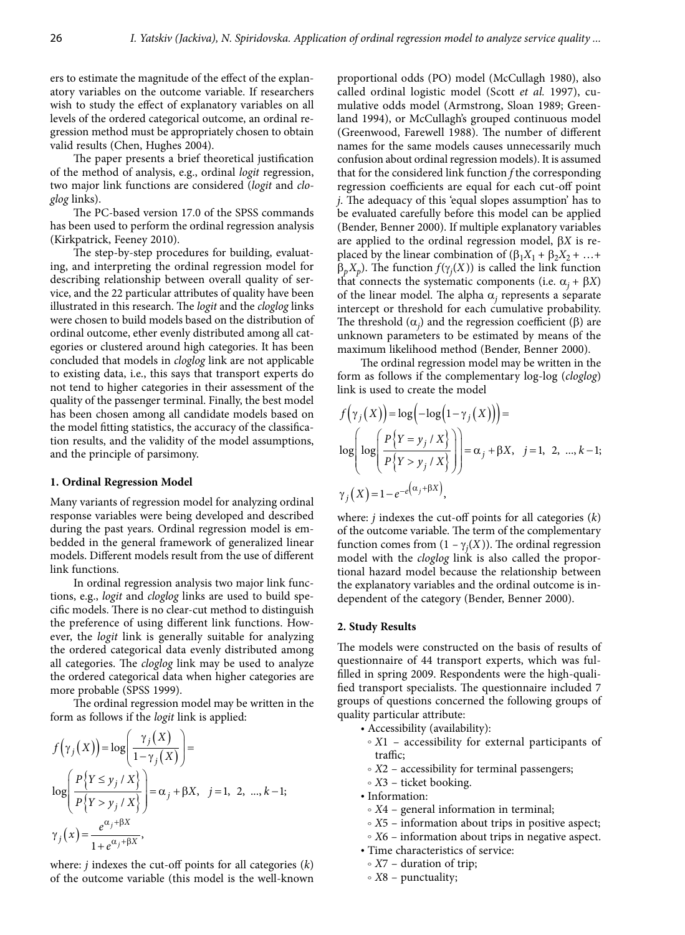ers to estimate the magnitude of the effect of the explanatory variables on the outcome variable. If researchers wish to study the effect of explanatory variables on all levels of the ordered categorical outcome, an ordinal regression method must be appropriately chosen to obtain valid results (Chen, Hughes 2004).

The paper presents a brief theoretical justification of the method of analysis, e.g., ordinal *logit* regression, two major link functions are considered (*logit* and *cloglog* links).

The PC-based version 17.0 of the SPSS commands has been used to perform the ordinal regression analysis (Kirkpatrick, Feeney 2010).

The step-by-step procedures for building, evaluating, and interpreting the ordinal regression model for describing relationship between overall quality of service, and the 22 particular attributes of quality have been illustrated in this research. The *logit* and the *cloglog* links were chosen to build models based on the distribution of ordinal outcome, ether evenly distributed among all categories or clustered around high categories. It has been concluded that models in *cloglog* link are not applicable to existing data, i.e., this says that transport experts do not tend to higher categories in their assessment of the quality of the passenger terminal. Finally, the best model has been chosen among all candidate models based on the model fitting statistics, the accuracy of the classification results, and the validity of the model assumptions, and the principle of parsimony.

## **1. Ordinal Regression Model**

Many variants of regression model for analyzing ordinal response variables were being developed and described during the past years. Ordinal regression model is embedded in the general framework of generalized linear models. Different models result from the use of different link functions.

In ordinal regression analysis two major link functions, e.g., *logit* and *cloglog* links are used to build specific models. There is no clear-cut method to distinguish the preference of using different link functions. However, the *logit* link is generally suitable for analyzing the ordered categorical data evenly distributed among all categories. The *cloglog* link may be used to analyze the ordered categorical data when higher categories are more probable (SPSS 1999).

The ordinal regression model may be written in the form as follows if the *logit* link is applied:

$$
f(\gamma_j(X)) = \log\left(\frac{\gamma_j(X)}{1-\gamma_j(X)}\right) =
$$
  
\n
$$
\log\left(\frac{P\{Y \le y_j / X\}}{P\{Y > y_j / X\}}\right) = \alpha_j + \beta X, \quad j = 1, 2, ..., k-1;
$$
  
\n
$$
\gamma_j(x) = \frac{e^{\alpha_j + \beta X}}{1 + e^{\alpha_j + \beta X}},
$$

where: *j* indexes the cut-off points for all categories (*k*) of the outcome variable (this model is the well-known

proportional odds (PO) model (McCullagh 1980), also called ordinal logistic model (Scott *et al.* 1997), cumulative odds model (Armstrong, Sloan 1989; Greenland 1994), or McCullagh's grouped continuous model (Greenwood, Farewell 1988). The number of different names for the same models causes unnecessarily much confusion about ordinal regression models). It is assumed that for the considered link function *f* the corresponding regression coefficients are equal for each cut-off point *j*. The adequacy of this 'equal slopes assumption' has to be evaluated carefully before this model can be applied (Bender, Benner 2000). If multiple explanatory variables are applied to the ordinal regression model,  $\beta X$  is replaced by the linear combination of  $(\beta_1X_1 + \beta_2X_2 + ... +$  $\beta_p X_p$ ). The function  $f(\gamma_j(X))$  is called the link function that connects the systematic components (i.e.  $\alpha_i + \beta X$ ) of the linear model. The alpha  $\alpha_i$  represents a separate intercept or threshold for each cumulative probability. The threshold  $(\alpha_j)$  and the regression coefficient ( $\beta$ ) are unknown parameters to be estimated by means of the maximum likelihood method (Bender, Benner 2000).

The ordinal regression model may be written in the form as follows if the complementary log-log (*cloglog*) link is used to create the model

$$
f(\gamma_j(X)) = \log(-\log(1-\gamma_j(X))) =
$$
  
\n
$$
\log\left(\log\left(\frac{P\{Y=y_j/X\}}{P\{Y>y_j/X\}}\right)\right) = \alpha_j + \beta X, \quad j = 1, 2, ..., k-1;
$$
  
\n
$$
\gamma_j(X) = 1 - e^{-e(\alpha_j + \beta X)},
$$

where: *j* indexes the cut-off points for all categories (*k*) of the outcome variable. The term of the complementary function comes from  $(1 - \gamma_j(X))$ . The ordinal regression model with the *cloglog* link is also called the proportional hazard model because the relationship between the explanatory variables and the ordinal outcome is independent of the category (Bender, Benner 2000).

#### **2. Study Results**

The models were constructed on the basis of results of questionnaire of 44 transport experts, which was fulfilled in spring 2009. Respondents were the high-qualified transport specialists. The questionnaire included 7 groups of questions concerned the following groups of quality particular attribute:

- Accessibility (availability):
	- $\circ$  *X*1 accessibility for external participants of traffic;
	- *X2* accessibility for terminal passengers;
- F *X*3 ticket booking.
- • Information:
	- $\circ$  *X*4 general information in terminal;
	- *X*5 information about trips in positive aspect;
	- $\circ$  *X*6 information about trips in negative aspect.
- Time characteristics of service:
- $\circ$  *X*7 duration of trip;
- F *X*8 punctuality;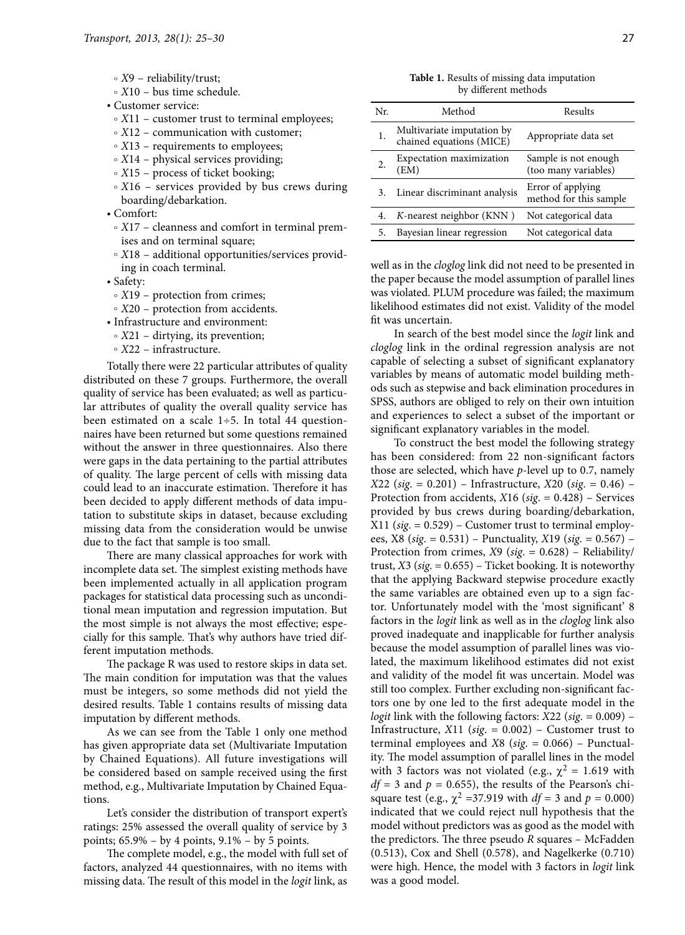- F *X*9 reliability/trust;
- F *X*10 bus time schedule.
- • Customer service:
- $\circ$  *X*11 customer trust to terminal employees;
- $\circ$  *X*12 communication with customer;
- X13 requirements to employees;
- *X*14 physical services providing;
- $\circ$  *X*15 process of ticket booking;
- $\circ$  *X*16 services provided by bus crews during boarding/debarkation.
- • Comfort:
- F *X*17 cleanness and comfort in terminal premises and on terminal square;
- F *X*18 additional opportunities/services providing in coach terminal.
- • Safety:
	- X19 protection from crimes;
- *X*20 protection from accidents.
- • Infrastructure and environment:
- $\circ$  *X*21 dirtying, its prevention;
- *X*22 infrastructure.

Totally there were 22 particular attributes of quality distributed on these 7 groups. Furthermore, the overall quality of service has been evaluated; as well as particular attributes of quality the overall quality service has been estimated on a scale  $1\div 5$ . In total 44 questionnaires have been returned but some questions remained without the answer in three questionnaires. Also there were gaps in the data pertaining to the partial attributes of quality. The large percent of cells with missing data could lead to an inaccurate estimation. Therefore it has been decided to apply different methods of data imputation to substitute skips in dataset, because excluding missing data from the consideration would be unwise due to the fact that sample is too small.

There are many classical approaches for work with incomplete data set. The simplest existing methods have been implemented actually in all application program packages for statistical data processing such as unconditional mean imputation and regression imputation. But the most simple is not always the most effective; especially for this sample. That's why authors have tried different imputation methods.

The package R was used to restore skips in data set. The main condition for imputation was that the values must be integers, so some methods did not yield the desired results. Table 1 contains results of missing data imputation by different methods.

As we can see from the Table 1 only one method has given appropriate data set (Multivariate Imputation by Chained Equations). All future investigations will be considered based on sample received using the first method, e.g., Multivariate Imputation by Chained Equations.

Let's consider the distribution of transport expert's ratings: 25% assessed the overall quality of service by 3 points; 65.9% – by 4 points, 9.1% – by 5 points.

The complete model, e.g., the model with full set of factors, analyzed 44 questionnaires, with no items with missing data. The result of this model in the *logit* link, as

| Table 1. Results of missing data imputation |
|---------------------------------------------|
| by different methods                        |

| Nr. | Method                                                 | Results                                       |
|-----|--------------------------------------------------------|-----------------------------------------------|
| 1.  | Multivariate imputation by<br>chained equations (MICE) | Appropriate data set                          |
| 2.  | Expectation maximization<br>(EM)                       | Sample is not enough.<br>(too many variables) |
| 3.  | Linear discriminant analysis                           | Error of applying<br>method for this sample   |
| 4.  | K-nearest neighbor (KNN)                               | Not categorical data                          |
| 5.  | Bayesian linear regression                             | Not categorical data                          |

well as in the *cloglog* link did not need to be presented in the paper because the model assumption of parallel lines was violated. PLUM procedure was failed; the maximum likelihood estimates did not exist. Validity of the model fit was uncertain.

In search of the best model since the *logit* link and *cloglog* link in the ordinal regression analysis are not capable of selecting a subset of significant explanatory variables by means of automatic model building methods such as stepwise and back elimination procedures in SPSS, authors are obliged to rely on their own intuition and experiences to select a subset of the important or significant explanatory variables in the model.

To construct the best model the following strategy has been considered: from 22 non-significant factors those are selected, which have *p*-level up to 0.7, namely *X*22 (*sig*. = 0.201) – Infrastructure, *X*20 (*sig*. = 0.46) – Protection from accidents, *X*16 (*sig*. = 0.428) – Services provided by bus crews during boarding/debarkation, X11 (*sig*. = 0.529) – Customer trust to terminal employees, X8 (*sig*. = 0.531) – Punctuality, *X*19 (*sig*. = 0.567) – Protection from crimes, *X*9 (*sig*. = 0.628) – Reliability/ trust, *X*3 (*sig*. = 0.655) – Ticket booking. It is noteworthy that the applying Backward stepwise procedure exactly the same variables are obtained even up to a sign factor. Unfortunately model with the 'most significant' 8 factors in the *logit* link as well as in the *cloglog* link also proved inadequate and inapplicable for further analysis because the model assumption of parallel lines was violated, the maximum likelihood estimates did not exist and validity of the model fit was uncertain. Model was still too complex. Further excluding non-significant factors one by one led to the first adequate model in the *logit* link with the following factors: *X*22 (*sig*. = 0.009) – Infrastructure, *X*11 (*sig*. = 0.002) – Customer trust to terminal employees and *X*8 (*sig*. = 0.066) – Punctuality. The model assumption of parallel lines in the model with 3 factors was not violated (e.g.,  $\chi^2 = 1.619$  with  $df = 3$  and  $p = 0.655$ ), the results of the Pearson's chisquare test (e.g.,  $\chi^2$  =37.919 with *df* = 3 and *p* = 0.000) indicated that we could reject null hypothesis that the model without predictors was as good as the model with the predictors. The three pseudo *R* squares – McFadden (0.513), Cox and Shell (0.578), and Nagelkerke (0.710) were high. Hence, the model with 3 factors in *logit* link was a good model.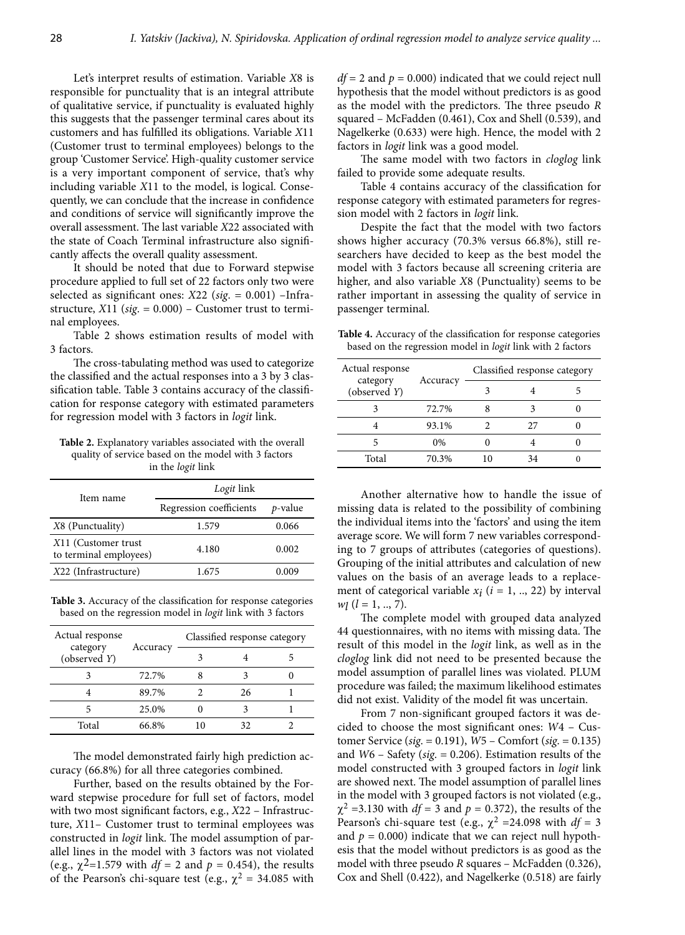Let's interpret results of estimation. Variable *X*8 is responsible for punctuality that is an integral attribute of qualitative service, if punctuality is evaluated highly this suggests that the passenger terminal cares about its customers and has fulfilled its obligations. Variable *X*11 (Customer trust to terminal employees) belongs to the group 'Customer Service'. High-quality customer service is a very important component of service, that's why including variable *X*11 to the model, is logical. Consequently, we can conclude that the increase in confidence and conditions of service will significantly improve the overall assessment. The last variable *X*22 associated with the state of Coach Terminal infrastructure also significantly affects the overall quality assessment.

It should be noted that due to Forward stepwise procedure applied to full set of 22 factors only two were selected as significant ones: *X*22 (*sig*. = 0.001) –Infrastructure, *X*11 (*sig*. = 0.000) – Customer trust to terminal employees.

Table 2 shows estimation results of model with 3 factors.

The cross-tabulating method was used to categorize the classified and the actual responses into a 3 by 3 classification table. Table 3 contains accuracy of the classification for response category with estimated parameters for regression model with 3 factors in *logit* link.

**Table 2.** Explanatory variables associated with the overall quality of service based on the model with 3 factors in the *logit* link

| Item name                                     | Logit link              |         |  |  |
|-----------------------------------------------|-------------------------|---------|--|--|
|                                               | Regression coefficients | p-value |  |  |
| X8 (Punctuality)                              | 1.579                   | 0.066   |  |  |
| X11 (Customer trust<br>to terminal employees) | 4.180                   | 0.002   |  |  |
| X22 (Infrastructure)                          | 1.675                   | 0.009   |  |  |

**Table 3.** Accuracy of the classification for response categories based on the regression model in *logit* link with 3 factors

| Actual response          | Accuracy | Classified response category |    |  |
|--------------------------|----------|------------------------------|----|--|
| category<br>(observed Y) |          |                              |    |  |
|                          | 72.7%    |                              |    |  |
|                          | 89.7%    |                              | 26 |  |
|                          | 25.0%    |                              |    |  |
| Total                    | 66.8%    | 10                           |    |  |

The model demonstrated fairly high prediction accuracy (66.8%) for all three categories combined.

Further, based on the results obtained by the Forward stepwise procedure for full set of factors, model with two most significant factors, e.g., *X*22 – Infrastructure, *X*11– Customer trust to terminal employees was constructed in *logit* link. The model assumption of parallel lines in the model with 3 factors was not violated (e.g.,  $\chi^2$ =1.579 with *df* = 2 and *p* = 0.454), the results of the Pearson's chi-square test (e.g.,  $\chi^2 = 34.085$  with

 $df = 2$  and  $p = 0.000$ ) indicated that we could reject null hypothesis that the model without predictors is as good as the model with the predictors. The three pseudo *R* squared – McFadden (0.461), Cox and Shell (0.539), and Nagelkerke (0.633) were high. Hence, the model with 2 factors in *logit* link was a good model.

The same model with two factors in *cloglog* link failed to provide some adequate results.

Table 4 contains accuracy of the classification for response category with estimated parameters for regression model with 2 factors in *logit* link.

Despite the fact that the model with two factors shows higher accuracy (70.3% versus 66.8%), still researchers have decided to keep as the best model the model with 3 factors because all screening criteria are higher, and also variable *X*8 (Punctuality) seems to be rather important in assessing the quality of service in passenger terminal.

**Table 4.** Accuracy of the classification for response categories based on the regression model in *logit* link with 2 factors

| Actual response          | Accuracy | Classified response category |    |  |
|--------------------------|----------|------------------------------|----|--|
| category<br>(observed Y) |          |                              |    |  |
|                          | 72.7%    |                              |    |  |
|                          | 93.1%    |                              | 27 |  |
|                          | 0%       |                              |    |  |
| Total                    | 70.3%    | 10                           | 34 |  |

Another alternative how to handle the issue of missing data is related to the possibility of combining the individual items into the 'factors' and using the item average score. We will form 7 new variables corresponding to 7 groups of attributes (categories of questions). Grouping of the initial attributes and calculation of new values on the basis of an average leads to a replacement of categorical variable  $x_i$  ( $i = 1, ..., 22$ ) by interval  $w_l$  ( $l = 1, ..., 7$ ).

The complete model with grouped data analyzed 44 questionnaires, with no items with missing data. The result of this model in the *logit* link, as well as in the *cloglog* link did not need to be presented because the model assumption of parallel lines was violated. PLUM procedure was failed; the maximum likelihood estimates did not exist. Validity of the model fit was uncertain.

From 7 non-significant grouped factors it was decided to choose the most significant ones: *W*4 – Customer Service (*sig*. = 0.191), *W*5 – Comfort (*sig*. = 0.135) and *W*6 – Safety (*sig*. = 0.206). Estimation results of the model constructed with 3 grouped factors in *logit* link are showed next. The model assumption of parallel lines in the model with 3 grouped factors is not violated (e.g.,  $\chi^2$  =3.130 with *df* = 3 and *p* = 0.372), the results of the Pearson's chi-square test (e.g.,  $\chi^2$  =24.098 with  $df = 3$ and  $p = 0.000$ ) indicate that we can reject null hypothesis that the model without predictors is as good as the model with three pseudo *R* squares – McFadden (0.326), Cox and Shell (0.422), and Nagelkerke (0.518) are fairly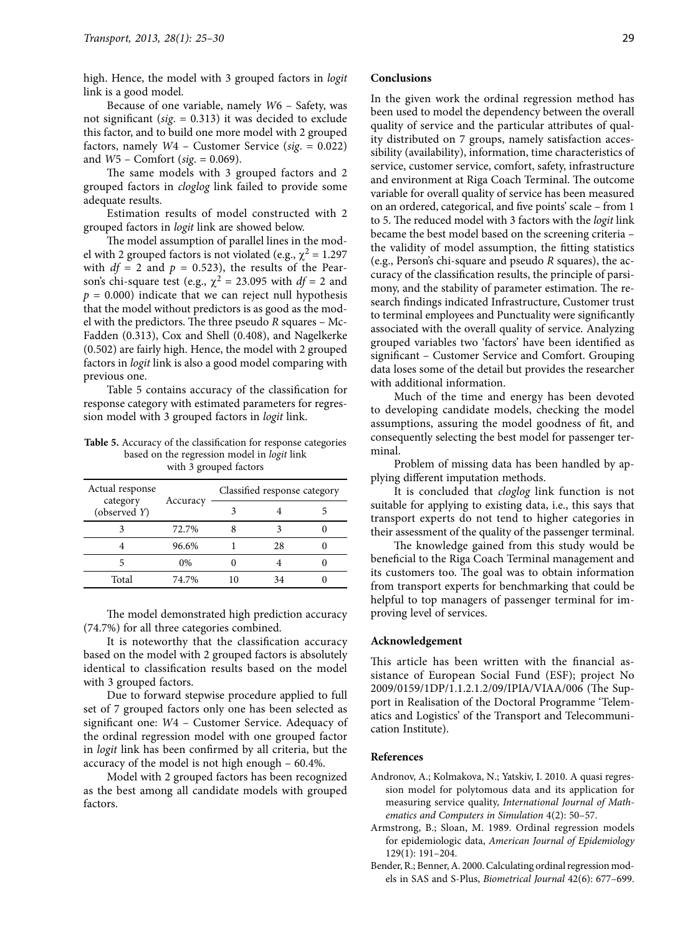high. Hence, the model with 3 grouped factors in *logit* link is a good model.

Because of one variable, namely *W*6 – Safety, was not significant (*sig*. = 0.313) it was decided to exclude this factor, and to build one more model with 2 grouped factors, namely *W*4 – Customer Service (*sig*. = 0.022) and *W*5 – Comfort (*sig*. = 0.069).

The same models with 3 grouped factors and 2 grouped factors in *cloglog* link failed to provide some adequate results.

Estimation results of model constructed with 2 grouped factors in *logit* link are showed below.

The model assumption of parallel lines in the model with 2 grouped factors is not violated (e.g.,  $\chi^2 = 1.297$ with  $df = 2$  and  $p = 0.523$ , the results of the Pearson's chi-square test (e.g.,  $\chi^2 = 23.095$  with  $df = 2$  and  $p = 0.000$ ) indicate that we can reject null hypothesis that the model without predictors is as good as the model with the predictors. The three pseudo *R* squares – Mc-Fadden (0.313), Cox and Shell (0.408), and Nagelkerke (0.502) are fairly high. Hence, the model with 2 grouped factors in *logit* link is also a good model comparing with previous one.

Table 5 contains accuracy of the classification for response category with estimated parameters for regression model with 3 grouped factors in *logit* link.

| <b>Table 5.</b> Accuracy of the classification for response categories |
|------------------------------------------------------------------------|
| based on the regression model in <i>logit</i> link                     |
| with 3 grouped factors                                                 |

| Actual response          | Accuracy | Classified response category |  |
|--------------------------|----------|------------------------------|--|
| category<br>(observed Y) |          |                              |  |
|                          | 72.7%    |                              |  |
|                          | 96.6%    | 28                           |  |
|                          | $0\%$    |                              |  |
| Total                    | 74.7%    | 34                           |  |

The model demonstrated high prediction accuracy (74.7%) for all three categories combined.

It is noteworthy that the classification accuracy based on the model with 2 grouped factors is absolutely identical to classification results based on the model with 3 grouped factors.

Due to forward stepwise procedure applied to full set of 7 grouped factors only one has been selected as significant one: *W*4 – Customer Service. Adequacy of the ordinal regression model with one grouped factor in *logit* link has been confirmed by all criteria, but the accuracy of the model is not high enough – 60.4%.

Model with 2 grouped factors has been recognized as the best among all candidate models with grouped factors.

## **Conclusions**

In the given work the ordinal regression method has been used to model the dependency between the overall quality of service and the particular attributes of quality distributed on 7 groups, namely satisfaction accessibility (availability), information, time characteristics of service, customer service, comfort, safety, infrastructure and environment at Riga Coach Terminal. The outcome variable for overall quality of service has been measured on an ordered, categorical, and five points' scale – from 1 to 5. The reduced model with 3 factors with the *logit* link became the best model based on the screening criteria – the validity of model assumption, the fitting statistics (e.g., Person's chi-square and pseudo *R* squares), the accuracy of the classification results, the principle of parsimony, and the stability of parameter estimation. The research findings indicated Infrastructure, Customer trust to terminal employees and Punctuality were significantly associated with the overall quality of service. Analyzing grouped variables two 'factors' have been identified as significant – Customer Service and Comfort. Grouping data loses some of the detail but provides the researcher with additional information.

Much of the time and energy has been devoted to developing candidate models, checking the model assumptions, assuring the model goodness of fit, and consequently selecting the best model for passenger terminal.

Problem of missing data has been handled by applying different imputation methods.

It is concluded that *cloglog* link function is not suitable for applying to existing data, i.e., this says that transport experts do not tend to higher categories in their assessment of the quality of the passenger terminal.

The knowledge gained from this study would be beneficial to the Riga Coach Terminal management and its customers too. The goal was to obtain information from transport experts for benchmarking that could be helpful to top managers of passenger terminal for improving level of services.

# **Acknowledgement**

This article has been written with the financial assistance of European Social Fund (ESF); project No 2009/0159/1DP/1.1.2.1.2/09/IPIA/VIAA/006 (The Support in Realisation of the Doctoral Programme 'Telematics and Logistics' of the Transport and Telecommunication Institute).

### **References**

- Andronov, A.; Kolmakova, N.; Yatskiv, I. 2010. A quasi regression model for polytomous data and its application for measuring service quality, *International Journal of Mathematics and Computers in Simulation* 4(2): 50–57.
- Armstrong, B.; Sloan, M. 1989. Ordinal regression models for epidemiologic data, *American Journal of Epidemiology* 129(1): 191–204.
- Bender, R.; Benner, A. 2000. Calculating ordinal regression models in SAS and S-Plus, *Biometrical Journal* 42(6): 677–699.